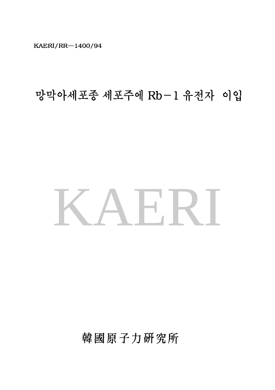KAERI/RR-1400/94

# 망막아세포종 세포주에 Rb-1 유전자 이입

# KAERI

韓國原子力研究所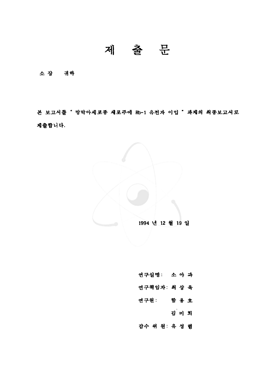제 출 문

소장 귀하

본 보고서률 <sup>•</sup> 망막아세포종 세포주에 Rb-1 유전자 이입 <sup>•</sup> 과제의 최종보고서로 책훌합니다.

1994 년 12 월 19 일

- 연구실명: 소아파
- 연구책임자: 최 상 육
	-
- 연구원: 함용호
	-
	- 검이희
- 감수 위 원: 유 성 렬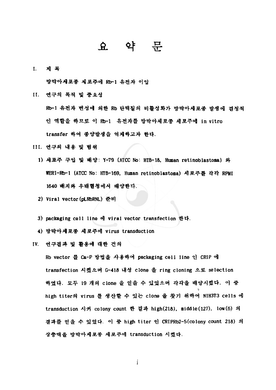#### $\mathbf{\Omega}$ 약

제 목 I.

망막아세포종 째포추에 Rb-l 유천자

- II. 연구의 목적 및 중요성 Rb-1 유전자 변성에 의한 Rb 단백질의 비활성화가 망막아세포종 발생에 결정적 인 역할을 하므로 이 Rb-1 유전자를 망막아세포종 세포주에 in vitro transfer 하여 총양발생을 억재학고차 한다.
- III. 연구의 내용 및 범위
	- 1) 세포주 구입 및 배양: Y-79 (ATCC No: HTB-18, Human retinoblastoma) 와 WERI-Rb- t (ATCC No: HTB-l69, Human retinoblastoma) 세포쭈훌 각각 RPMI 1640 빼지와 우태혈청에셔 빼양한다.
	- 2) Viral vector(pLRbRNL) 훈비
	- 3) packaging cell line viral vector transfection 한다-
	- 4) 망막아세포종 세포주에 virus transduction
- IV. 연구컬확 활용에 때한 건의

Rb vector 를 Ca-P 방법을 사용하여 packaging cell line 인 CRIP 에 transfection 시켰으며 G-418 내성 clone 을 ring cloning 으로 selection 하였다. 모두 19 개의 clone 을 얻을 수 있었으며 각각을 배양시켰다. 이 중 high titer의 virus 룔 생산할 수 있는 clone 을 찾기 위하여 NIH3T3 cells 에 transduction 시켜 colony count 한 결과 high(218), middle(127), low(6) 의 결과를 얻을 수 있었다. 이 중 high titer 인 CRIPRb2-5(colony count 218) 의 상충액을 망막아세포종 세포주에 transduction 시켰다.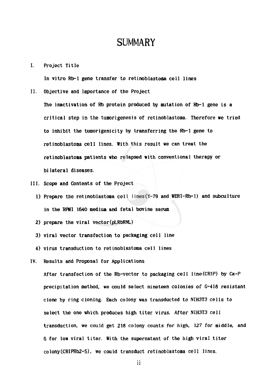### **SUMMARY**

I. Project Title

In vitro Rb-1 gene transfer to retinoblastoma cell lines

II. Objective and Importance of the Project

The inactivation of Rb protein produced by mutation of Rb-1 gene is a critical step in the tumorigenesis of retinoblastoma. Therefore we tried to inhibit the tumorigenicity by transferring the Rb-l gene to retinoblastoma cell lines. With this result we can treat the retinoblastoma patients who relapsed with conventional therapy or bi lateral diseases.

- III. Scope and Contents of the Project
	- 1) Prepare the retinoblastoma cell lines(Y-79 and WERI-Rb-1) and subculture in the RPM1 1640 medium and fetal bovine serum
	- 2) prepare the viral vector(pLRbRNL)
	- 3) viral vector transfection to packaging cell line
	- 4) virus transduction to retinoblastoma cell lines
- IV. Results and Proposal for Applications

After transfection of the Rb-vector to packaging cell line(CRIP) by Ca-P precipitation method, we could select nineteen colonies of G-418 resistant clone by ring cloning. Each colony was transducted to NIH3T3 cells to select the one which produces high titer vi<mark>rus</mark>. After NIH3T3 cell transduction, we could get 218 colony counts for high, 127 for middle, and 6 for low viral titer. With the supernatant of the high viral titer colony(CRIPRb2-5), we could transduct retinoblastoma cell lines.

 $\mathbf{ii}$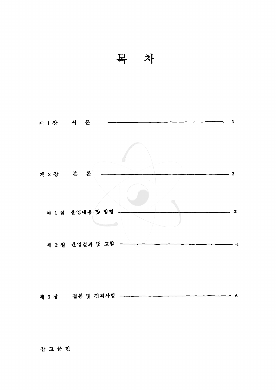



 $\overline{\phantom{1}}$  6

#### 참고문헌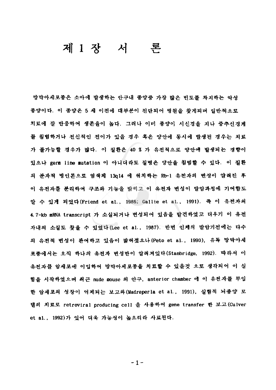## 제 1 장 서 론

망막아셰포종은 소아애 발생하는 안구내 총양중 가장 많은 빈도률 차지하는 악생 종양이다. 이 종양은 5 세 이전에 대부분이 진단되어 병원을 찾게되며 일반적으로 치료에 반웅하여 생존율이 높다. 그려나 이미 종양이 시신청을 처나 충추신경계 챔뱀하거나 현신척안 전이가 있올 경우 혹윤 양얀에 동시에 발생펀 경우는 치료 가 불가능할 경우가 많다. 이 질환은 40 % 가 유전적으로 양안에 발생되는 경향이 있으나 germ line mutation 이 아니더라도 질병은 양안을 침범할 수 있다. 이 질환 의 분자적 병인론으로 염색체 13g14 에 위치하는 Rb-1 유전자의 변성이 알려진 후 유천차률 분리하여 구초와 기능율 밝히고 유천짜 변껑이 발암화갱에 기여함도 압 수 있게 되었다(Friend et al., 1986; Gallie et al., 1991). 즉 이 유전자의 4.7-kb mRNA transcript 가 소실되거나 변성되어 있음을 발견하였고 더우기 이 유전 자내의 소실도 찾을 수 있었다 (Lee et al., 1987). 반면 인체의 발암기전에는 다수 의 유전적 변성이 판여하고 있음이 밞혀졌으나 (Peto et al., 1990), 유독 망막아세 포종에서는 오직 하나의 유전자 변성만이 알려져있다(Stanbridge, 1992). 따라서 이 유전자를 암세포에 이입하여 망막아세포종을 치료할 수 있을것 으로 생각되어 이 실 협을 시작하였으며 최근 nude mouse 의 안구, anterior chamber 에 이 유전자를 무입 한 암세포의 성장이 억제되는 보고와 (Madreperla et al., 1991), 실험적 뇌종양 모 </u>의 치료로 retroviral producing cell 을 사용하여 gene transfer 한 보고(Culver et al., 1992)가 있어 더욱 가능성이 높으리라 사료된다.

.<br>۱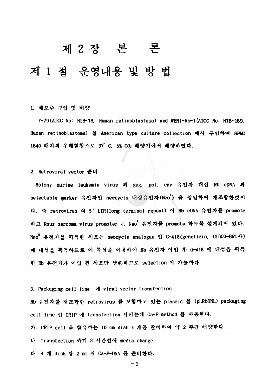# 본 론

# 제 1 절 운영내용 및 방 법

#### 1. 쩌포주 구입 뼈양

Y-79(ATCC No: HTB-18, Human retinoblastoma) and WERI-Rb-1(ATCC No: HTB-169, Human retinoblastoma) 를 American type culture collection 에서 구입하여 RPMI 1640 배지와 우태혈청으로 37° C, 5% CO2 배양기에서 배양하였다.

#### 2. Retroviral vector 훈비

Molony murine leukemia virus 의 gag, pol, env 유전자 대신 Rb cDNA 와 selectable marker 유전자인 neomycin 내성유전자(Neo") 을 삽입하여 재조합한것이 다. 즉 retrovirus 의 5/LTR(long terminal repeat) 이 Rb cDNA 유전자를 promote 하고 Rous sarcoma virus promoter 는 Neo<sup>t</sup> 유전자를 promote 하도록 설계되어 있다. Neo<sup>"</sup> 유전자를 획득한 세포는 neomycin analogue 인 G-418(geneticin, GIBCO-BRL사) 에 내성을 획득하므로 이 특성을 이용하여 Rb 유전자 이입 후 G-418 에 내성을 획득 한 Rb 유전자가 이입 된 세포만 생존하므로 selection 이 가능하다.

3. Packaging cell line of viral vector transfection Rb 유전자를 재조합한 retrovirus 를 포함하고 있는 plasmid 를 (pLRbRNL) packaging

cell line 인 CRIP 에 transfection 시키는데 Ca-P method 를 사용한다.

가. CRIP cell 을 함유하는 10 cm dish 4 개를 준비하여 약 2 주간 배양한다.

transfection 하기 3 시간천애 media change

다. 4 개 dish 당 2 ml 의 Ca-P-DNA 를 준비한다.

-2-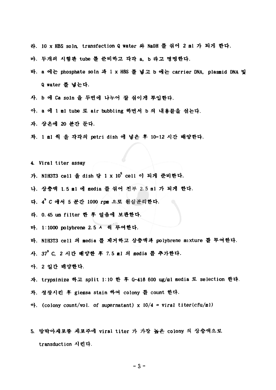- 라. 10 x HBS soln, transfection Q water 와 NaOH 를 섞어 2 ml 가 되게 한다.
- 마. 푸개의 시혐환 tube 훈비하고 각각 a, b 라고 명명한다.
- 바. a 에는 phosphate soln 과 1 x HBS 를 넣고 b 에는 carrier DNA, plasmid DNA 및 Q water 넣는다.
- 사. b 에 Ca soln 을 두번에 나누어 잘 섞이게 투입한다.
- 아. a 에 1 ml tube 로 air bubbling 하면서 b 의 내용물을 섞는다.
- 자. 상온애 20 불깐 둔다.
- 차. 1 al 씩 을 각각의 petri dish 에 넣은 후 10-12 시간 배양한다.
- Viral titer assay
- 가. NIH3T3 cell 을 dish 당 1 x 10<sup>5</sup> cell 이 되게 준비한다.
- 나. 상충액 1.5 ml 에 media 를 섞어 전부 2.5 ml 가 되게 한다.
- 다. 4° C 애서 5 분간 1000 rpm 으로 원심분리한다.
- 라. 0.45 um filter 한 후 얼음에 보관한다.
- 마. 1:1000 polybrene 2.5 ㅅ 씩 투여한다.
- 바. NIH3T3 cell 의 media 를 제거하고 상충액과 polybrene mixture 를 무여한다.
- 사. 37° C, 2 시간 배양한 후 7.5 ml 의 media 를 추가한다.
- 아· 2 엘간 빼양한다.
- 자. trypsinize 하고 split 1:10 한 후 G-418 600 ug/ml media 로 selection 한다.
- 차. 성장시킨 후 giemsa stain 하여 colony 를 count 한다.
- 아. (colony count/vol. of supernatant)  $x$  10/4 = viral titer(cfu/ml)
- 5. 망막아세포종 세포주에 viral titer 가 가장 높은 colony 의 상충액으로 transduction 시킨다.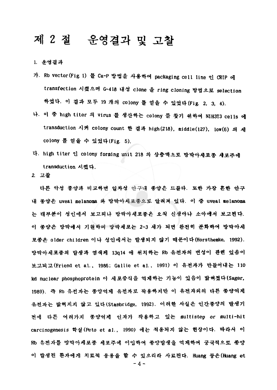# 제 2 절 운영결과 및 고찰

#### 1. 훈영컬과

- 가. Rb vector (Fig. 1) 를 Ca-P 방법을 사용하여 packaging cell line 인 CRIP 에 transfection 시켰으며 G-418 내성 clone 을 ring cloning 방법으로 selection 하였다. 이 결과 모두 19 개의 colony 를 얻을 수 있었다(Fig. 2, 3, 4).
- 나. 이 중 high titer 의 virus 를 생산하는 colony 를 찾기 위하여 NIH3T3 cells 에 transduction 시켜 colony count 결확 high (218). middle(127), low(6) colony 를 얻을 수 있었다 (Fig. 5).
- 다. high titer 인 colony forming unit 218 의 상충액으로 망막아세포종 세포주에 transduction 시쳤다.
- 2 고활

다른 악생 종양확 비요하연 얼차생 얀구내 총양운 드물다. 또환 가창 혼환 얀구 내 종양은 uveal melanoma 와 망막아세포종으로 암려져 있다. 이 중 uveal melanoma 대부분이 생안에셔 보고되나 망학야쩨포총윤 오직 신쟁아나 소아얘셔 보고펀다. 총양은 망막애셔 <sup>71</sup> 원하며 망막째포는 2-3 셰가 되면 완천히 분화하여 밥막야쩨 포종은 older children 이나 성인에서는 발생되지 않기 때문이다(Horsthemke, 1992). 망막아셰포종의 발쟁화 염썩체 13q14 뀌치하는 Rb 유천짜의 변생이 황현 었용이 보고되고(Friend et al., 1986; Gallie et al., 1991) 이 유전자가 만들어내는 110 kd nuclear phosphoprotein 이 세포중식을 억제하는 기능이 있음이 밝혀졌다(Sager, 1989). 즉 Rb 유전자는 종양억제 유전자로 작용하지만 이 유전자의의 다른 종양억제 유전자는 밞혀지지 않고 있다(Stanbridge, 1992). 이러한 사실은 인간종양의 발생기 천애 다튼 얘려가지 종양억채 안차가 착용하고 있는 multistep or multi-hit carcinogenesis 학설 (Peto et al., 1990) 에는 적용되지 않는 현상이다. 따라서 이 Rb 유천차륨 망막야세포총 세포주얘 °1 압하여 종양발생울 억쩌하여 풍국척으로 종양 이 발생된 환자애게 치료적 응용을 할 수 있으리라 사료된다. Huang 등은(Huang et -4-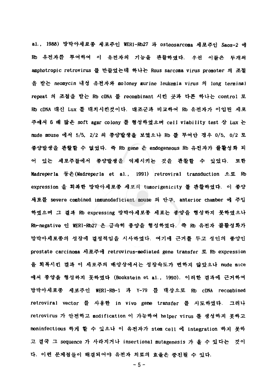al., 1988) 망막아세포종 세포주인 WERI-Rb27 과 osteosarcoma 세포주인 Saos-2 에 Rb 유전자를 투여하여 이 유전자의 기능을 관찰하였다. 우선 이들은 두개의 amphotropic retrovirus 를 만들었는데 하나는 Rous sarcoma virus promoter 의 조절 을 받는 neomycin 내성 유전자와 moloney murine leukemia virus 의 long terminal repeat 의 조절을 받는 Rb cDNA 를 recombinant 시킨 곳과 다른 하나는 control 로 Rb cDNA 대신 Lux 를 대치시킨것이다. 대조군과 비교하여 Rb 유전자가 이입된 세포 주에서 6 배 많은 soft agar colony 를 형성하였으며 cell viability test 상 Lux 는 nude mouse 에서 5/5, 2/2 의 종양발생을 보였으나 Rb 를 투여안 경우 0/5, 0/2 로 종양발생을 관찰할 수 없었다. 즉 Rb gene 은 endogeneous Rb 유전자가 불활성화 되 있는 쩨포주폴에셔 종양합쟁율 억쩨시키는 것용 환활할 았었다. 포환 Madreper la 둥운 (Madreper la et al., 1991) retroviral transduction 으로 Rb expression 을 회복한 망막아세포종 세포의 tumorigenicity 를 관찰하였다. 이 종양 새포를 severe combined immunodeficient mouse 의 안구, anterior chamber 에 주입 학였요며 결확 Rb expressing 망막아세포총 제포는 총양올 형성하지 뭇하였으나 Rb-negative 인 WERI-Rb27 은 급속히 종양을 형성하였다. 즉 Rb 유전자 뷸활성화가 망막아세포종의 성장에 결정적임을 시사하였다. 여기에 근거를 두고 성인의 종양인 prostate carcinoma 세포주에 retrovirus-mediated gene transfer 로 Rb expression 을 회복시킨 결과 이 세포주의 배양상에서는 성장속도가 변하지 않았으나 nude mice 에서 종양을 형성하지 못하였다 (Bookstein et al., 1990). 이러한 결파에 근거하여 망막아세포종 세포주인 WERI-RB-1 과 Y-79 를 대상으로 Rb cDNA recombined retroviral vector 를 사용한 in vivo gene transfer 를 시도하였다. 그러나 retrovirus 가 안전하고 modification 이 가능하여 helper virus 를 생성하지 못하고 noninfectious 하게 할 수 있으나 이 유전자가 stem cell 에 integration 하지 못하 고 결국 그 sequence 가 사라지거나 insertional mutagenesis 가 올 수 있다는 것이 다. 이런 문제점들이 해결되어야 유전자 치료의 효율은 중진될 수 있다.

-5-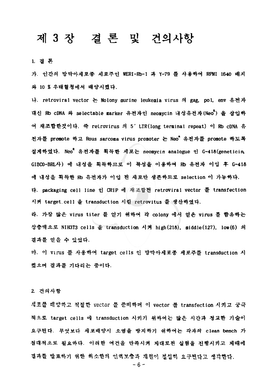## 제 3 장 결론 및 건의사항

1.

가. 인간의 망막아세포종 세포주인 WERI-Rb-1 파 Y-79 를 사용하여 RPMI 1640 배지 10 %우태혈청에서 뼈양시혔다.

나. retroviral vector 는 Molony murine leukemia virus 의 gag, pol, env 유전자 대신 Rb cDNA 와 selectable marker 유전자인 neomycin 내성유전자(Neo") 을 삽입하 여 재조합한것이다. 즉 retrovirus 의 5' LTR(long terminal repeat) 이 Rb cDNA 유 전자를 promote 하고 Rous sarcoma virus promoter 는 Neo<sup>"</sup> 유전자를 promote 하도록 설계하였다. Neo" 유전자를 획득한 세포는 neomycin analogue 인 G-418(geneticin, GIBCO-BRL사) 에 내성을 획득하므로 이 특성을 이용하여 Rb 유천자 이입 후 G-418 에 내성을 획득한 Rb 유전자가 이입 된 세포만 생존하므로 selection 이 가능하다. 다. packaging cell line 인 CRIP 에 재조합된 retroviral vector 를 transfection 시켜 target.cell 을 transduction 시킬 retrovitus 를 생산하였다. 라. 가장 많은 virus titer 를 얻기 위하여 각 colony 에서 얻은 virus 를 함유하는

상충액으로 NIH3T3 cells 을 transduction 시켜 high(218). middle(127), low(6) 의 결과를 얻을 수 있었다.

마. 이 virus 를 사용하여 target cells 인 망막아세포종 세포주를 transduction 시 켰으며 결과를 기다리는 중이다.

2. 건의사항

세포를 배양하고 적절한 vector 를 준비하며 이 vector 를 transfection 시키고 궁극 적으로 target cells 에 transduction 시키기 위하여는 많은 시간과 정교한 기술이 요구된다. 무엇보다 세포배양시 오염을 방지하기 위하여는 각자의 clean bench 가 절대적으로 필요하다. 이러한 여건을 만족시켜 재대로된 실험을 진행시키고 제때에 결과를 발표하기 위한 최소한의 인력보충과 재원이 절실히 요구된다고 생각한다.

-6-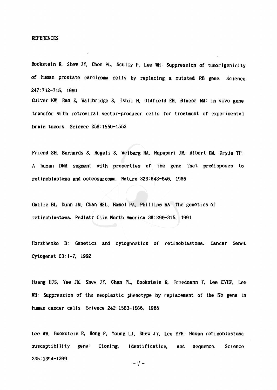#### **REFERENCES**

Bookstein R, Shew JY, Chen PL, Scully P, Lee WH: Suppression of tumorigenicity of human prostate carcinoma cells by replacing a mutated RB gene. Science 247:712-715, 1990

Culver KW, Ram Z, Wallbridge S, Ishii H, Oldfield EH, Blaese RM: In vivo gene transfer with retroviral vector-producer cells for treatment of experimental brain tumors. Science 256:1550-1552

Friend SH, Bernards S, Rogeli S, Weiberg RA, Rapaport JM, Albert DM, Dryja TP: A human DNA segment with properties of the gene that predisposes to retinoblastoma and osteosarcoma. Nature 323:643-646, 1986

Gallie BL, Dunn JM, Chan HSL, Hamel PA, Phillips RA The genetics of retinoblastoma. Pediatr Clin North America 38:299-315, 1991

Horsthemke B: Genetics and cytogenetics of retinoblastoma. Cancer Genet Cytogenet 63:1-7, 1992

Huang HJS, Yee JK, Shew JY, Chen PL, Bookstein R, Friedmann T, Lee EVHP, Lee WH: Suppression of the neoplastic phenotype by replacement of the Rb gene in human cancer cells. Science 242:1563-1566, 1988

Lee WH, Bookstein R, Hong F, Young LJ, Shew JY, Lee EYH Human retinoblastoma  $susceptibility$  gene: Cloning. Identification, Science and sequence. 235:1394-1399

 $-7-$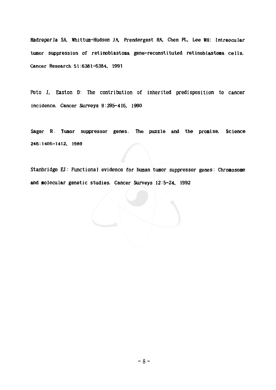Madreperla SA, Whittum-Hudson JA, Prendergast RA, Chen PL, Lee WH: Intraocular tumor suppression of retinoblastoma gene-reconstituted retinoblastoma cells. Cancer Research 51:6381-6384, 1991

Peto J, Easton D: The contribution of inherited predisposition to cancer incidence. Cancer Surveys 9:395-416, 1990

Sager R. Tumor suppressor genes. The puzzle and the promise. Science 246:1406-1412, 1989

Stanbridge EJ: Functional evidence for human tumor suppressor genes: Chromosome and molecular genetic studies. Cancer Surveys 12:5-24, 1992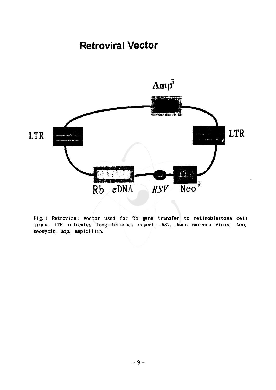## **Retroviral Vector**



Fig. 1 Retroviral vector used for Rb gene transfer to retinoblastoma cell lines. LTR indicates long terminal repeat, RSV, Rous sarcoma virus, Neo, neomycin, amp, ampicillin.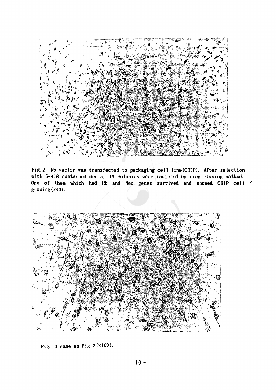

Fig.2 Rb vector was transfected to packaging cell line(CRIP). After selection with G-418 contained media, 19 colonies were isolated by ring cloning method. One of them which had Rb and Neo genes survived and showed CRIP cell ' growi ng (x40).



Fig. 3 same as Fig.  $2(x100)$ .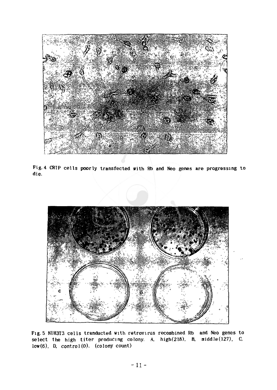![](_page_15_Picture_0.jpeg)

Fig. 4 CRIP cells poorly transfected with Rb and Neo genes are progressing to die.

![](_page_15_Picture_2.jpeg)

Fig.5 NIH3T3 cells tranducted with retrovirus recombined Rb and Neo genes to select the high titer producing colony. A. high(218), B. middle  $(127)$ , C. low(6), D.  $control(0)$ . (colony count)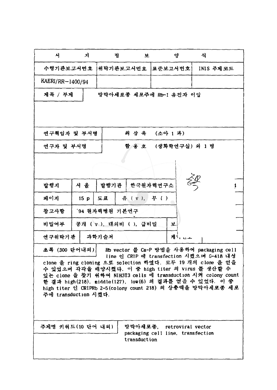| 서                                                                                                                                                                               | 지   | 정                       | 互            | 양                                        |        | 식 |           |
|---------------------------------------------------------------------------------------------------------------------------------------------------------------------------------|-----|-------------------------|--------------|------------------------------------------|--------|---|-----------|
| 수행기관보고서번호                                                                                                                                                                       |     | 위탁기관보고서번호               |              | 표준보고서번호!                                 |        |   | INIS 주제코드 |
| KAERI/RR-1400/94                                                                                                                                                                |     |                         |              |                                          |        |   |           |
| 제목 / 부제                                                                                                                                                                         |     | 망막아세포종 세포주에 Rb-1 유전자 이입 |              |                                          |        |   |           |
|                                                                                                                                                                                 |     |                         |              |                                          |        |   |           |
|                                                                                                                                                                                 |     |                         |              |                                          |        |   |           |
| 연구책임자 및 부서명                                                                                                                                                                     |     | 최 상 육<br>(소아 1 과)       |              |                                          |        |   |           |
| 연구자 및 부서명                                                                                                                                                                       |     |                         | 함 용 호        | (생화학연구실) 의 1 명                           |        |   |           |
|                                                                                                                                                                                 |     |                         |              |                                          |        |   |           |
|                                                                                                                                                                                 |     |                         |              |                                          |        |   |           |
| 발행지                                                                                                                                                                             | 서 울 | 발행기관                    |              | 한국원자력연구소                                 |        | 姿 |           |
| 페이지                                                                                                                                                                             | 15p | 三丑                      | 유 (v), 무 ()  |                                          |        |   |           |
| 참고사항                                                                                                                                                                            |     | '94 원자력병원 기본연구          |              |                                          |        |   |           |
| 공개 (v), 대의비 ( ), 급비밀<br>비밀여부<br>耳                                                                                                                                               |     |                         |              |                                          |        |   |           |
| 연구위탁기관                                                                                                                                                                          |     | 과학기술처                   |              |                                          | 게 . ㄴㅗ |   |           |
| 초록 (300 단어내외)                                                                                                                                                                   |     |                         |              | Rb vector 를 Ca-P 방법을 사용하여 packaging cell |        |   |           |
|                                                                                                                                                                                 |     |                         |              | line 인 CRIP 에 transfection 시켰으며 G-418 내성 |        |   |           |
| clone 을 ring cloning 으로 selection 하였다. 모두 19 개의 clone 을 얻을<br>수 있었으며 각각을 배양시켰다. 이 중 high titer 의 virus 플 생산할 수<br>있는 clone 을 찾기 위하여 NIH3T3 cells 에 transduction 시켜 colony count |     |                         |              |                                          |        |   |           |
|                                                                                                                                                                                 |     |                         |              |                                          |        |   |           |
| 한 결과 high(218), middle(127), low(6) 의 결과를 얻을 수 있었다. 이 중<br>high titer 인 CRIPRb 2-5(colony count 218) 의 상충액을 망막아세포종 세포                                                           |     |                         |              |                                          |        |   |           |
| 주에 transduction 시켰다.                                                                                                                                                            |     |                         |              |                                          |        |   |           |
|                                                                                                                                                                                 |     |                         |              |                                          |        |   |           |
|                                                                                                                                                                                 |     |                         |              |                                          |        |   |           |
| 주제명 키워드(10 단어 내외)                                                                                                                                                               |     |                         |              | 망막아세포종, retroviral vector                |        |   |           |
|                                                                                                                                                                                 |     |                         | transduction | packaging cell line, transfection        |        |   |           |
|                                                                                                                                                                                 |     |                         |              |                                          |        |   |           |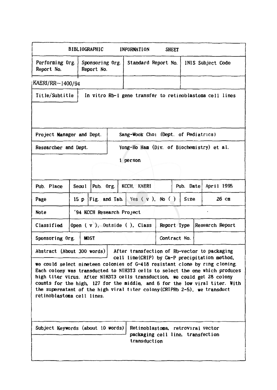|                                                                                                                                                           | <b>BIBLIOGRAPHIC</b> |                                                                                        | <b>INFORMATION</b>                            | <b>SHEET</b>        |           |                                                                             |  |
|-----------------------------------------------------------------------------------------------------------------------------------------------------------|----------------------|----------------------------------------------------------------------------------------|-----------------------------------------------|---------------------|-----------|-----------------------------------------------------------------------------|--|
| Performing Org.<br>Report No.                                                                                                                             |                      | Sponsoring Org.<br>Report No.                                                          | Standard Report No.                           |                     |           | INIS Subject Code                                                           |  |
| KAERI/RR-1400/94                                                                                                                                          |                      |                                                                                        |                                               |                     |           |                                                                             |  |
| Title/Subtitle                                                                                                                                            |                      |                                                                                        |                                               |                     |           | In vitro Rb-1 gene transfer to retinoblastoma cell lines                    |  |
|                                                                                                                                                           |                      |                                                                                        |                                               |                     |           |                                                                             |  |
|                                                                                                                                                           |                      |                                                                                        |                                               |                     |           |                                                                             |  |
| Sang-Wook Choi (Dept. of Pediatrics)<br>Project Manager and Dept.                                                                                         |                      |                                                                                        |                                               |                     |           |                                                                             |  |
| Yong-Ho Ham (Div. of Biochemistry) et al.<br>Researcher and Dept.                                                                                         |                      |                                                                                        |                                               |                     |           |                                                                             |  |
| 1 person                                                                                                                                                  |                      |                                                                                        |                                               |                     |           |                                                                             |  |
|                                                                                                                                                           |                      |                                                                                        |                                               |                     |           |                                                                             |  |
| Pub. Place                                                                                                                                                | Seou 1               | Pub. Org.                                                                              | KCCH, KAERI                                   |                     | Pub. Date | April 1995                                                                  |  |
| Page                                                                                                                                                      | 15p                  | Fig. and Tab.                                                                          |                                               | Yes $(v)$ , No $()$ | Size      | 26 сш                                                                       |  |
| <b>Note</b><br>'94 KCCH Research Project                                                                                                                  |                      |                                                                                        |                                               |                     |           |                                                                             |  |
| Classified<br>Open $(v)$ , Outside $()$ , Class<br>Report Type<br>Research Report                                                                         |                      |                                                                                        |                                               |                     |           |                                                                             |  |
| Sponsoring Org.<br><b>MOST</b><br>Contract No.                                                                                                            |                      |                                                                                        |                                               |                     |           |                                                                             |  |
| After transfection of Rb-vector to packaging<br>Abstract (About 300 words)                                                                                |                      |                                                                                        |                                               |                     |           |                                                                             |  |
|                                                                                                                                                           |                      |                                                                                        | cell line(CRIP) by Ca-P precipitation method, |                     |           | we could select nimeteen colonies of G-418 resistant clone by ring cloning. |  |
| Each colony was transducted to NIH3T3 cells to select the one which produces<br>high titer virus. After NIH3T3 cells transduction, we could get 28 colony |                      |                                                                                        |                                               |                     |           |                                                                             |  |
| counts for the high, 127 for the middle, and 6 for the low viral titer. With<br>the supernatant of the high viral titer colony (CRIPRb 2-5), we transduct |                      |                                                                                        |                                               |                     |           |                                                                             |  |
| retinoblastoma cell lines.                                                                                                                                |                      |                                                                                        |                                               |                     |           |                                                                             |  |
|                                                                                                                                                           |                      |                                                                                        |                                               |                     |           |                                                                             |  |
| Subject Keywords (about 10 words)                                                                                                                         |                      |                                                                                        |                                               |                     |           |                                                                             |  |
|                                                                                                                                                           |                      | Retinoblastoma, retroviral vector<br>packaging cell line, transfection<br>transduction |                                               |                     |           |                                                                             |  |
|                                                                                                                                                           |                      |                                                                                        |                                               |                     |           |                                                                             |  |

ľ

L